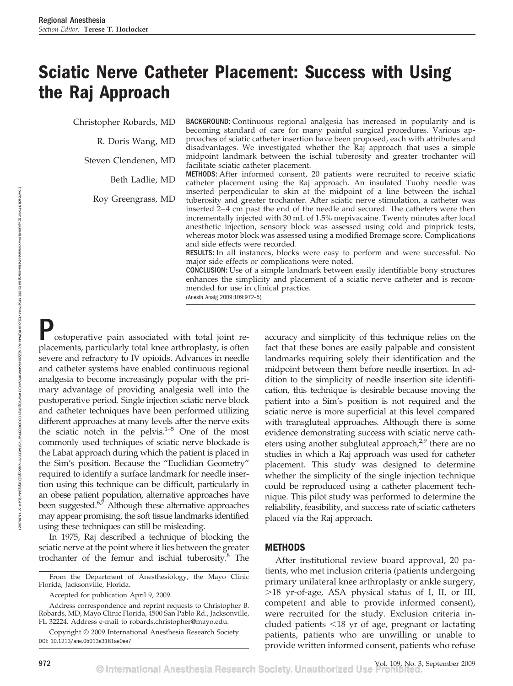# **Sciatic Nerve Catheter Placement: Success with Using the Raj Approach**

Christopher Robards, MD

R. Doris Wang, MD

Steven Clendenen, MD

Beth Ladlie, MD

Roy Greengrass, MD

BACKGROUND: Continuous regional analgesia has increased in popularity and is becoming standard of care for many painful surgical procedures. Various approaches of sciatic catheter insertion have been proposed, each with attributes and disadvantages. We investigated whether the Raj approach that uses a simple midpoint landmark between the ischial tuberosity and greater trochanter will facilitate sciatic catheter placement.

METHODS: After informed consent, 20 patients were recruited to receive sciatic catheter placement using the Raj approach. An insulated Tuohy needle was inserted perpendicular to skin at the midpoint of a line between the ischial tuberosity and greater trochanter. After sciatic nerve stimulation, a catheter was inserted 2-4 cm past the end of the needle and secured. The catheters were then incrementally injected with 30 mL of 1.5% mepivacaine. Twenty minutes after local anesthetic injection, sensory block was assessed using cold and pinprick tests, whereas motor block was assessed using a modified Bromage score. Complications and side effects were recorded.

RESULTS: In all instances, blocks were easy to perform and were successful. No major side effects or complications were noted.

CONCLUSION: Use of a simple landmark between easily identifiable bony structures enhances the simplicity and placement of a sciatic nerve catheter and is recommended for use in clinical practice.

(Anesth Analg 2009;109:972–5)

ostoperative pain associated with total joint replacements, particularly total knee arthroplasty, is often severe and refractory to IV opioids. Advances in needle and catheter systems have enabled continuous regional analgesia to become increasingly popular with the primary advantage of providing analgesia well into the postoperative period. Single injection sciatic nerve block and catheter techniques have been performed utilizing different approaches at many levels after the nerve exits the sciatic notch in the pelvis. $1-5$  One of the most commonly used techniques of sciatic nerve blockade is the Labat approach during which the patient is placed in the Sim's position. Because the "Euclidian Geometry" required to identify a surface landmark for needle insertion using this technique can be difficult, particularly in an obese patient population, alternative approaches have been suggested.<sup>6,7</sup> Although these alternative approaches may appear promising, the soft tissue landmarks identified using these techniques can still be misleading.

In 1975, Raj described a technique of blocking the sciatic nerve at the point where it lies between the greater trochanter of the femur and ischial tuberosity.8 The

Accepted for publication April 9, 2009.

Address correspondence and reprint requests to Christopher B. Robards, MD, Mayo Clinic Florida, 4500 San Pablo Rd., Jacksonville, FL 32224. Address e-mail to robards.christopher@mayo.edu.

Copyright © 2009 International Anesthesia Research Society DOI: 10.1213/ane.0b013e3181ae0ee7

accuracy and simplicity of this technique relies on the fact that these bones are easily palpable and consistent landmarks requiring solely their identification and the midpoint between them before needle insertion. In addition to the simplicity of needle insertion site identification, this technique is desirable because moving the patient into a Sim's position is not required and the sciatic nerve is more superficial at this level compared with transgluteal approaches. Although there is some evidence demonstrating success with sciatic nerve catheters using another subgluteal approach, $2.9$  there are no studies in which a Raj approach was used for catheter placement. This study was designed to determine whether the simplicity of the single injection technique could be reproduced using a catheter placement technique. This pilot study was performed to determine the reliability, feasibility, and success rate of sciatic catheters placed via the Raj approach.

## **METHODS**

After institutional review board approval, 20 patients, who met inclusion criteria (patients undergoing primary unilateral knee arthroplasty or ankle surgery, 18 yr-of-age, ASA physical status of I, II, or III, competent and able to provide informed consent), were recruited for the study. Exclusion criteria included patients -18 yr of age, pregnant or lactating patients, patients who are unwilling or unable to provide written informed consent, patients who refuse

From the Department of Anesthesiology, the Mayo Clinic Florida, Jacksonville, Florida.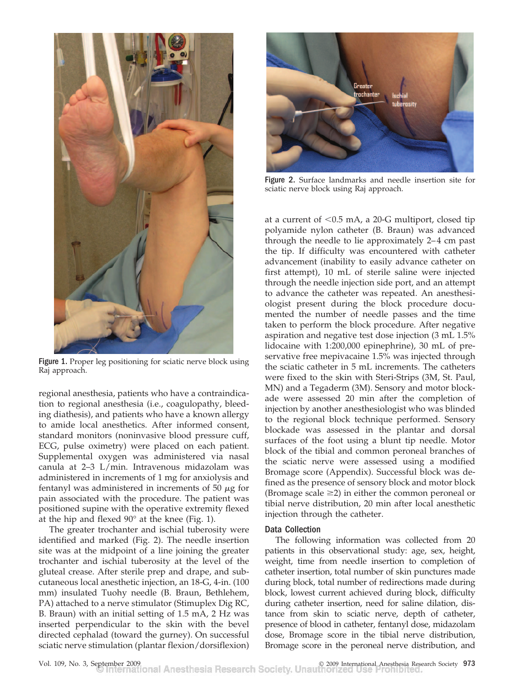

Figure 1. Proper leg positioning for sciatic nerve block using Raj approach.

regional anesthesia, patients who have a contraindication to regional anesthesia (i.e., coagulopathy, bleeding diathesis), and patients who have a known allergy to amide local anesthetics. After informed consent, standard monitors (noninvasive blood pressure cuff, ECG, pulse oximetry) were placed on each patient. Supplemental oxygen was administered via nasal canula at 2–3 L/min. Intravenous midazolam was administered in increments of 1 mg for anxiolysis and fentanyl was administered in increments of 50  $\mu$ g for pain associated with the procedure. The patient was positioned supine with the operative extremity flexed at the hip and flexed 90° at the knee (Fig. 1).

The greater trochanter and ischial tuberosity were identified and marked (Fig. 2). The needle insertion site was at the midpoint of a line joining the greater trochanter and ischial tuberosity at the level of the gluteal crease. After sterile prep and drape, and subcutaneous local anesthetic injection, an 18-G, 4-in. (100 mm) insulated Tuohy needle (B. Braun, Bethlehem, PA) attached to a nerve stimulator (Stimuplex Dig RC, B. Braun) with an initial setting of 1.5 mA, 2 Hz was inserted perpendicular to the skin with the bevel directed cephalad (toward the gurney). On successful sciatic nerve stimulation (plantar flexion/dorsiflexion)



Figure 2. Surface landmarks and needle insertion site for sciatic nerve block using Raj approach.

at a current of -0.5 mA, a 20-G multiport, closed tip polyamide nylon catheter (B. Braun) was advanced through the needle to lie approximately 2-4 cm past the tip. If difficulty was encountered with catheter advancement (inability to easily advance catheter on first attempt), 10 mL of sterile saline were injected through the needle injection side port, and an attempt to advance the catheter was repeated. An anesthesiologist present during the block procedure documented the number of needle passes and the time taken to perform the block procedure. After negative aspiration and negative test dose injection (3 mL 1.5% lidocaine with 1:200,000 epinephrine), 30 mL of preservative free mepivacaine 1.5% was injected through the sciatic catheter in 5 mL increments. The catheters were fixed to the skin with Steri-Strips (3M, St. Paul, MN) and a Tegaderm (3M). Sensory and motor blockade were assessed 20 min after the completion of injection by another anesthesiologist who was blinded to the regional block technique performed. Sensory blockade was assessed in the plantar and dorsal surfaces of the foot using a blunt tip needle. Motor block of the tibial and common peroneal branches of the sciatic nerve were assessed using a modified Bromage score (Appendix). Successful block was defined as the presence of sensory block and motor block (Bromage scale  $\geq$ 2) in either the common peroneal or tibial nerve distribution, 20 min after local anesthetic injection through the catheter.

### Data Collection

The following information was collected from 20 patients in this observational study: age, sex, height, weight, time from needle insertion to completion of catheter insertion, total number of skin punctures made during block, total number of redirections made during block, lowest current achieved during block, difficulty during catheter insertion, need for saline dilation, distance from skin to sciatic nerve, depth of catheter, presence of blood in catheter, fentanyl dose, midazolam dose, Bromage score in the tibial nerve distribution, Bromage score in the peroneal nerve distribution, and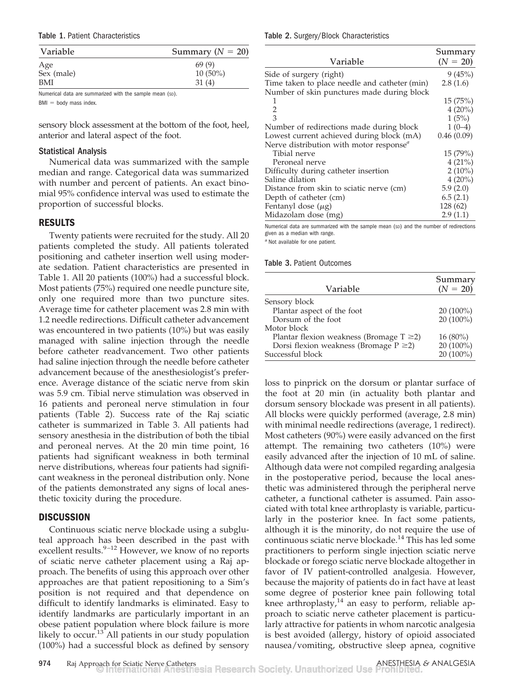Table 1. Patient Characteristics

| Variable   | Summary ( $N = 20$ ) |
|------------|----------------------|
| Age        | 69(9)                |
| Sex (male) | $10(50\%)$           |
| <b>BMI</b> | 31(4)                |

Numerical data are summarized with the sample mean (sp).

 $BMI = body$  mass index.

sensory block assessment at the bottom of the foot, heel, anterior and lateral aspect of the foot.

## Statistical Analysis

Numerical data was summarized with the sample median and range. Categorical data was summarized with number and percent of patients. An exact binomial 95% confidence interval was used to estimate the proportion of successful blocks.

## **RESULTS**

Twenty patients were recruited for the study. All 20 patients completed the study. All patients tolerated positioning and catheter insertion well using moderate sedation. Patient characteristics are presented in Table 1. All 20 patients (100%) had a successful block. Most patients (75%) required one needle puncture site, only one required more than two puncture sites. Average time for catheter placement was 2.8 min with 1.2 needle redirections. Difficult catheter advancement was encountered in two patients (10%) but was easily managed with saline injection through the needle before catheter readvancement. Two other patients had saline injection through the needle before catheter advancement because of the anesthesiologist's preference. Average distance of the sciatic nerve from skin was 5.9 cm. Tibial nerve stimulation was observed in 16 patients and peroneal nerve stimulation in four patients (Table 2). Success rate of the Raj sciatic catheter is summarized in Table 3. All patients had sensory anesthesia in the distribution of both the tibial and peroneal nerves. At the 20 min time point, 16 patients had significant weakness in both terminal nerve distributions, whereas four patients had significant weakness in the peroneal distribution only. None of the patients demonstrated any signs of local anesthetic toxicity during the procedure.

## **DISCUSSION**

Continuous sciatic nerve blockade using a subgluteal approach has been described in the past with excellent results. $9-12$  However, we know of no reports of sciatic nerve catheter placement using a Raj approach. The benefits of using this approach over other approaches are that patient repositioning to a Sim's position is not required and that dependence on difficult to identify landmarks is eliminated. Easy to identify landmarks are particularly important in an obese patient population where block failure is more likely to  $occur.<sup>13</sup>$  All patients in our study population (100%) had a successful block as defined by sensory

Table 2. Surgery/Block Characteristics

|                                                     | Summary    |
|-----------------------------------------------------|------------|
| Variable                                            | $(N = 20)$ |
| Side of surgery (right)                             | 9(45%)     |
| Time taken to place needle and catheter (min)       | 2.8(1.6)   |
| Number of skin punctures made during block          |            |
|                                                     | 15(75%)    |
| 2                                                   | $4(20\%)$  |
| $\overline{3}$                                      | 1(5%)      |
| Number of redirections made during block            | $1(0-4)$   |
| Lowest current achieved during block (mA)           | 0.46(0.09) |
| Nerve distribution with motor response <sup>a</sup> |            |
| Tibial nerve                                        | 15(79%)    |
| Peroneal nerve                                      | 4(21%)     |
| Difficulty during catheter insertion                | $2(10\%)$  |
| Saline dilation                                     | $4(20\%)$  |
| Distance from skin to sciatic nerve (cm)            | 5.9(2.0)   |
| Depth of catheter (cm)                              | 6.5(2.1)   |
| Fentanyl dose $(\mu g)$                             | 128 (62)   |
| Midazolam dose (mg)                                 | 2.9(1.1)   |

Numerical data are summarized with the sample mean (sp) and the number of redirections given as a median with range.

*<sup>a</sup>* Not available for one patient.

### Table 3. Patient Outcomes

| Variable                                       | Summary<br>$(N = 20)$ |
|------------------------------------------------|-----------------------|
| Sensory block                                  |                       |
| Plantar aspect of the foot                     | $20(100\%)$           |
| Dorsum of the foot                             | $20(100\%)$           |
| Motor block                                    |                       |
| Plantar flexion weakness (Bromage $T \geq 2$ ) | $16(80\%)$            |
| Dorsi flexion weakness (Bromage $P \geq 2$ )   | 20 (100%)             |
| Successful block                               | 20 (100%)             |

loss to pinprick on the dorsum or plantar surface of the foot at 20 min (in actuality both plantar and dorsum sensory blockade was present in all patients). All blocks were quickly performed (average, 2.8 min) with minimal needle redirections (average, 1 redirect). Most catheters (90%) were easily advanced on the first attempt. The remaining two catheters (10%) were easily advanced after the injection of 10 mL of saline. Although data were not compiled regarding analgesia in the postoperative period, because the local anesthetic was administered through the peripheral nerve catheter, a functional catheter is assumed. Pain associated with total knee arthroplasty is variable, particularly in the posterior knee. In fact some patients, although it is the minority, do not require the use of continuous sciatic nerve blockade.<sup>14</sup> This has led some practitioners to perform single injection sciatic nerve blockade or forego sciatic nerve blockade altogether in favor of IV patient-controlled analgesia. However, because the majority of patients do in fact have at least some degree of posterior knee pain following total knee arthroplasty, $14$  an easy to perform, reliable approach to sciatic nerve catheter placement is particularly attractive for patients in whom narcotic analgesia is best avoided (allergy, history of opioid associated nausea/vomiting, obstructive sleep apnea, cognitive